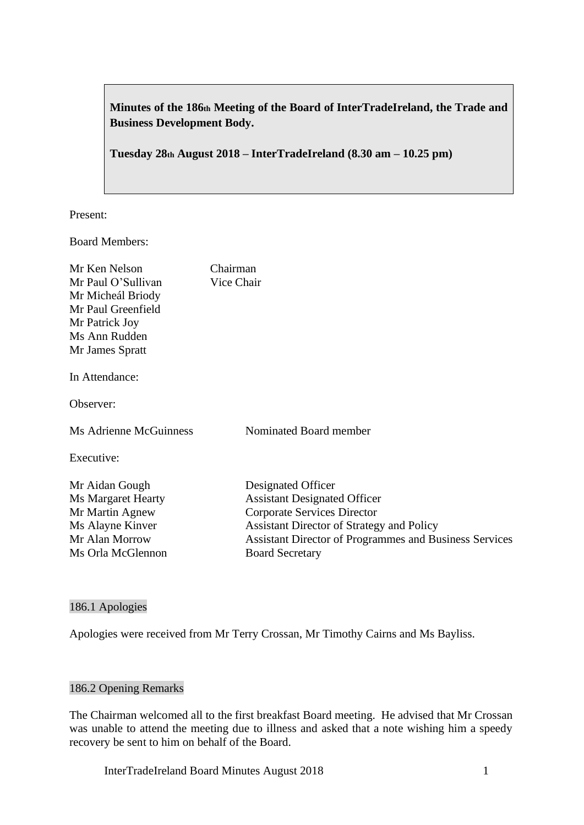**Minutes of the 186th Meeting of the Board of InterTradeIreland, the Trade and Business Development Body.**

**Tuesday 28th August 2018 – InterTradeIreland (8.30 am – 10.25 pm)**

Present:

Board Members:

| Mr Ken Nelson             | Chairman                                               |
|---------------------------|--------------------------------------------------------|
| Mr Paul O'Sullivan        | Vice Chair                                             |
| Mr Micheál Briody         |                                                        |
| Mr Paul Greenfield        |                                                        |
| Mr Patrick Joy            |                                                        |
| Ms Ann Rudden             |                                                        |
| Mr James Spratt           |                                                        |
| In Attendance:            |                                                        |
| Observer:                 |                                                        |
| Ms Adrienne McGuinness    | Nominated Board member                                 |
| Executive:                |                                                        |
| Mr Aidan Gough            | Designated Officer                                     |
| <b>Ms Margaret Hearty</b> | <b>Assistant Designated Officer</b>                    |
| Mr Martin Agnew           | Corporate Services Director                            |
| Ms Alayne Kinver          | <b>Assistant Director of Strategy and Policy</b>       |
| Mr Alan Morrow            | Assistant Director of Programmes and Business Services |
| Ms Orla McGlennon         | <b>Board Secretary</b>                                 |

## 186.1 Apologies

Apologies were received from Mr Terry Crossan, Mr Timothy Cairns and Ms Bayliss.

#### 186.2 Opening Remarks

The Chairman welcomed all to the first breakfast Board meeting. He advised that Mr Crossan was unable to attend the meeting due to illness and asked that a note wishing him a speedy recovery be sent to him on behalf of the Board.

InterTradeIreland Board Minutes August 2018 1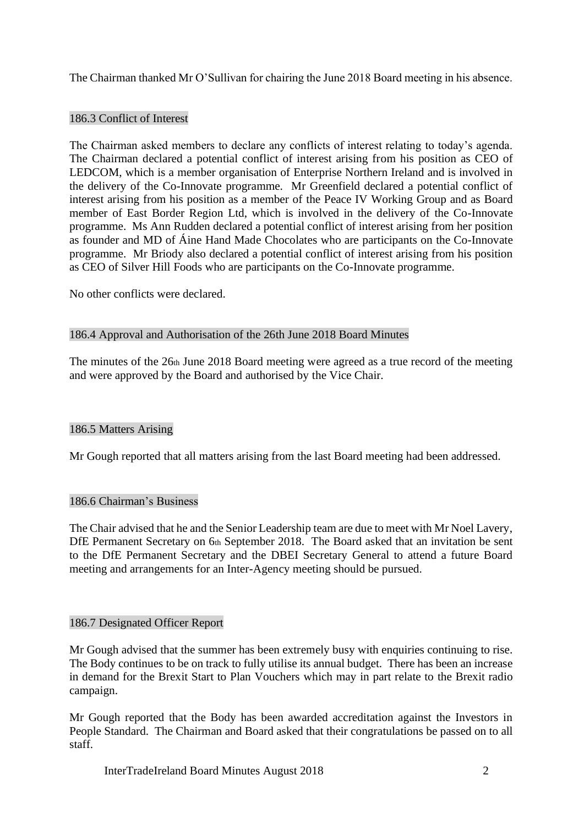The Chairman thanked Mr O'Sullivan for chairing the June 2018 Board meeting in his absence.

# 186.3 Conflict of Interest

The Chairman asked members to declare any conflicts of interest relating to today's agenda. The Chairman declared a potential conflict of interest arising from his position as CEO of LEDCOM, which is a member organisation of Enterprise Northern Ireland and is involved in the delivery of the Co-Innovate programme. Mr Greenfield declared a potential conflict of interest arising from his position as a member of the Peace IV Working Group and as Board member of East Border Region Ltd, which is involved in the delivery of the Co-Innovate programme. Ms Ann Rudden declared a potential conflict of interest arising from her position as founder and MD of Áine Hand Made Chocolates who are participants on the Co-Innovate programme. Mr Briody also declared a potential conflict of interest arising from his position as CEO of Silver Hill Foods who are participants on the Co-Innovate programme.

No other conflicts were declared.

# 186.4 Approval and Authorisation of the 26th June 2018 Board Minutes

The minutes of the 26th June 2018 Board meeting were agreed as a true record of the meeting and were approved by the Board and authorised by the Vice Chair.

# 186.5 Matters Arising

Mr Gough reported that all matters arising from the last Board meeting had been addressed.

# 186.6 Chairman's Business

The Chair advised that he and the Senior Leadership team are due to meet with Mr Noel Lavery, DfE Permanent Secretary on 6th September 2018. The Board asked that an invitation be sent to the DfE Permanent Secretary and the DBEI Secretary General to attend a future Board meeting and arrangements for an Inter-Agency meeting should be pursued.

# 186.7 Designated Officer Report

Mr Gough advised that the summer has been extremely busy with enquiries continuing to rise. The Body continues to be on track to fully utilise its annual budget. There has been an increase in demand for the Brexit Start to Plan Vouchers which may in part relate to the Brexit radio campaign.

Mr Gough reported that the Body has been awarded accreditation against the Investors in People Standard. The Chairman and Board asked that their congratulations be passed on to all staff.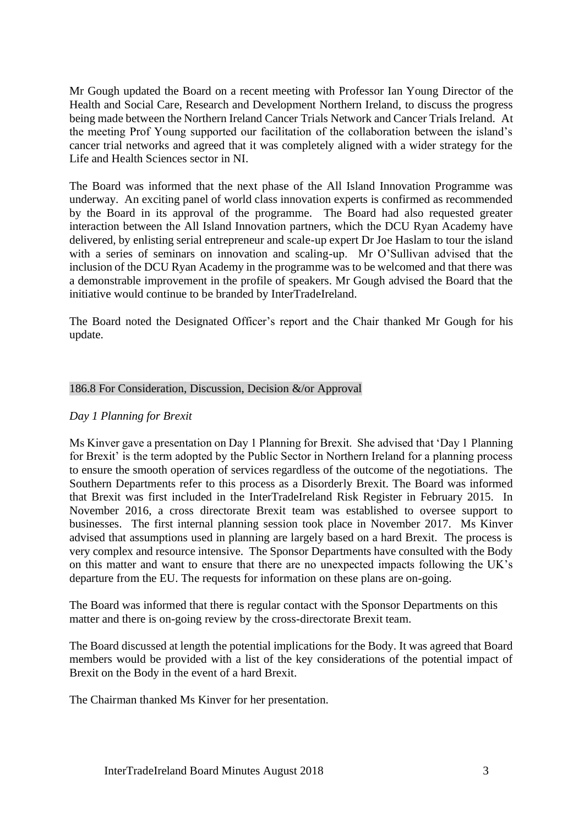Mr Gough updated the Board on a recent meeting with Professor Ian Young Director of the Health and Social Care, Research and Development Northern Ireland, to discuss the progress being made between the Northern Ireland Cancer Trials Network and Cancer Trials Ireland. At the meeting Prof Young supported our facilitation of the collaboration between the island's cancer trial networks and agreed that it was completely aligned with a wider strategy for the Life and Health Sciences sector in NI.

The Board was informed that the next phase of the All Island Innovation Programme was underway. An exciting panel of world class innovation experts is confirmed as recommended by the Board in its approval of the programme. The Board had also requested greater interaction between the All Island Innovation partners, which the DCU Ryan Academy have delivered, by enlisting serial entrepreneur and scale-up expert Dr Joe Haslam to tour the island with a series of seminars on innovation and scaling-up. Mr O'Sullivan advised that the inclusion of the DCU Ryan Academy in the programme was to be welcomed and that there was a demonstrable improvement in the profile of speakers. Mr Gough advised the Board that the initiative would continue to be branded by InterTradeIreland.

The Board noted the Designated Officer's report and the Chair thanked Mr Gough for his update.

#### 186.8 For Consideration, Discussion, Decision &/or Approval

#### *Day 1 Planning for Brexit*

Ms Kinver gave a presentation on Day 1 Planning for Brexit. She advised that 'Day 1 Planning for Brexit' is the term adopted by the Public Sector in Northern Ireland for a planning process to ensure the smooth operation of services regardless of the outcome of the negotiations. The Southern Departments refer to this process as a Disorderly Brexit. The Board was informed that Brexit was first included in the InterTradeIreland Risk Register in February 2015. In November 2016, a cross directorate Brexit team was established to oversee support to businesses. The first internal planning session took place in November 2017. Ms Kinver advised that assumptions used in planning are largely based on a hard Brexit. The process is very complex and resource intensive. The Sponsor Departments have consulted with the Body on this matter and want to ensure that there are no unexpected impacts following the UK's departure from the EU. The requests for information on these plans are on-going.

The Board was informed that there is regular contact with the Sponsor Departments on this matter and there is on-going review by the cross-directorate Brexit team.

The Board discussed at length the potential implications for the Body. It was agreed that Board members would be provided with a list of the key considerations of the potential impact of Brexit on the Body in the event of a hard Brexit.

The Chairman thanked Ms Kinver for her presentation.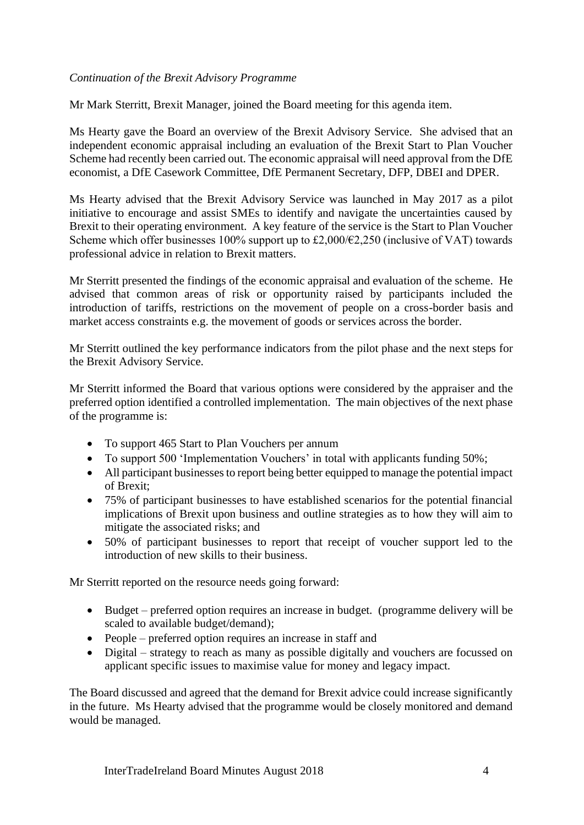# *Continuation of the Brexit Advisory Programme*

Mr Mark Sterritt, Brexit Manager, joined the Board meeting for this agenda item.

Ms Hearty gave the Board an overview of the Brexit Advisory Service. She advised that an independent economic appraisal including an evaluation of the Brexit Start to Plan Voucher Scheme had recently been carried out. The economic appraisal will need approval from the DfE economist, a DfE Casework Committee, DfE Permanent Secretary, DFP, DBEI and DPER.

Ms Hearty advised that the Brexit Advisory Service was launched in May 2017 as a pilot initiative to encourage and assist SMEs to identify and navigate the uncertainties caused by Brexit to their operating environment. A key feature of the service is the Start to Plan Voucher Scheme which offer businesses 100% support up to £2,000/€2,250 (inclusive of VAT) towards professional advice in relation to Brexit matters.

Mr Sterritt presented the findings of the economic appraisal and evaluation of the scheme. He advised that common areas of risk or opportunity raised by participants included the introduction of tariffs, restrictions on the movement of people on a cross-border basis and market access constraints e.g. the movement of goods or services across the border.

Mr Sterritt outlined the key performance indicators from the pilot phase and the next steps for the Brexit Advisory Service.

Mr Sterritt informed the Board that various options were considered by the appraiser and the preferred option identified a controlled implementation. The main objectives of the next phase of the programme is:

- To support 465 Start to Plan Vouchers per annum
- To support 500 'Implementation Vouchers' in total with applicants funding 50%;
- All participant businesses to report being better equipped to manage the potential impact of Brexit;
- 75% of participant businesses to have established scenarios for the potential financial implications of Brexit upon business and outline strategies as to how they will aim to mitigate the associated risks; and
- 50% of participant businesses to report that receipt of voucher support led to the introduction of new skills to their business.

Mr Sterritt reported on the resource needs going forward:

- Budget preferred option requires an increase in budget. (programme delivery will be scaled to available budget/demand);
- People preferred option requires an increase in staff and
- Digital strategy to reach as many as possible digitally and vouchers are focussed on applicant specific issues to maximise value for money and legacy impact.

The Board discussed and agreed that the demand for Brexit advice could increase significantly in the future. Ms Hearty advised that the programme would be closely monitored and demand would be managed.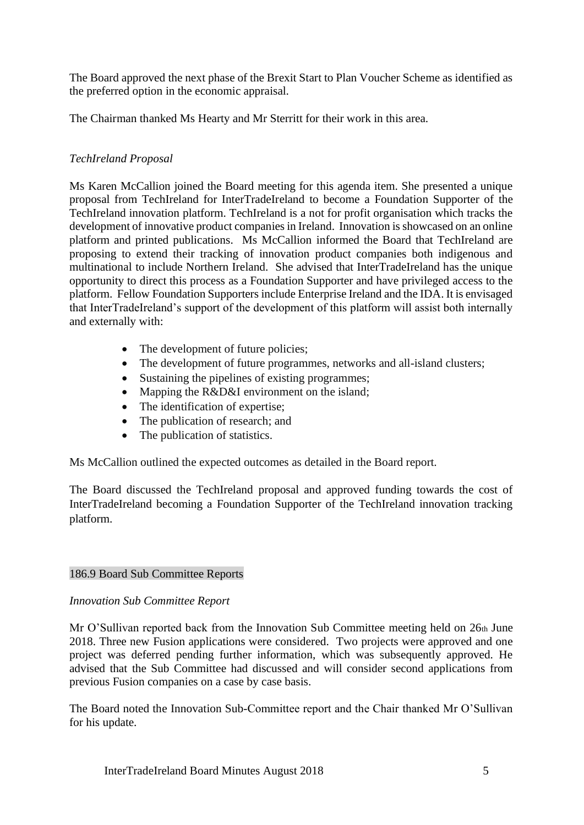The Board approved the next phase of the Brexit Start to Plan Voucher Scheme as identified as the preferred option in the economic appraisal.

The Chairman thanked Ms Hearty and Mr Sterritt for their work in this area.

# *TechIreland Proposal*

Ms Karen McCallion joined the Board meeting for this agenda item. She presented a unique proposal from TechIreland for InterTradeIreland to become a Foundation Supporter of the TechIreland innovation platform. TechIreland is a not for profit organisation which tracks the development of innovative product companies in Ireland. Innovation is showcased on an online platform and printed publications. Ms McCallion informed the Board that TechIreland are proposing to extend their tracking of innovation product companies both indigenous and multinational to include Northern Ireland. She advised that InterTradeIreland has the unique opportunity to direct this process as a Foundation Supporter and have privileged access to the platform. Fellow Foundation Supporters include Enterprise Ireland and the IDA. It is envisaged that InterTradeIreland's support of the development of this platform will assist both internally and externally with:

- The development of future policies;
- The development of future programmes, networks and all-island clusters;
- Sustaining the pipelines of existing programmes;
- Mapping the R&D&I environment on the island;
- The identification of expertise:
- The publication of research; and
- The publication of statistics.

Ms McCallion outlined the expected outcomes as detailed in the Board report.

The Board discussed the TechIreland proposal and approved funding towards the cost of InterTradeIreland becoming a Foundation Supporter of the TechIreland innovation tracking platform.

# 186.9 Board Sub Committee Reports

#### *Innovation Sub Committee Report*

Mr O'Sullivan reported back from the Innovation Sub Committee meeting held on 26th June 2018. Three new Fusion applications were considered. Two projects were approved and one project was deferred pending further information, which was subsequently approved. He advised that the Sub Committee had discussed and will consider second applications from previous Fusion companies on a case by case basis.

The Board noted the Innovation Sub-Committee report and the Chair thanked Mr O'Sullivan for his update.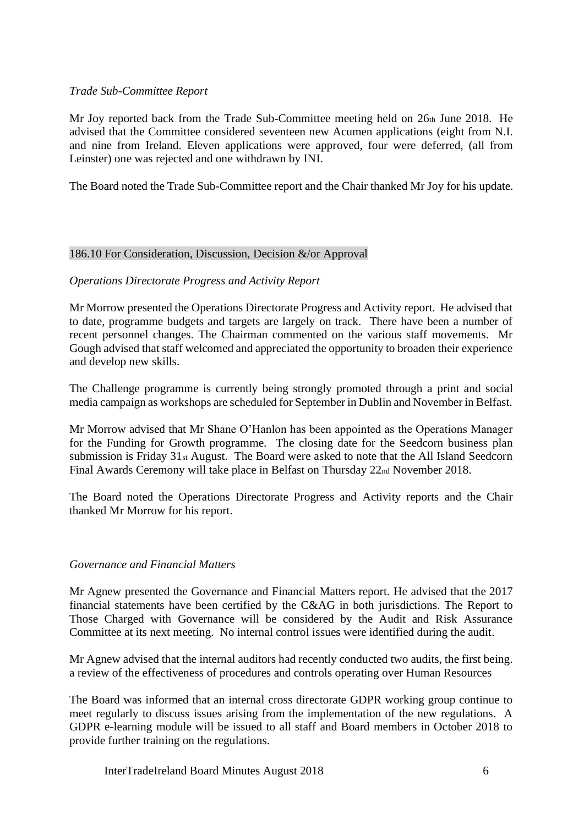## *Trade Sub-Committee Report*

Mr Joy reported back from the Trade Sub-Committee meeting held on 26th June 2018. He advised that the Committee considered seventeen new Acumen applications (eight from N.I. and nine from Ireland. Eleven applications were approved, four were deferred, (all from Leinster) one was rejected and one withdrawn by INI.

The Board noted the Trade Sub-Committee report and the Chair thanked Mr Joy for his update.

#### 186.10 For Consideration, Discussion, Decision &/or Approval

## *Operations Directorate Progress and Activity Report*

Mr Morrow presented the Operations Directorate Progress and Activity report. He advised that to date, programme budgets and targets are largely on track. There have been a number of recent personnel changes. The Chairman commented on the various staff movements. Mr Gough advised that staff welcomed and appreciated the opportunity to broaden their experience and develop new skills.

The Challenge programme is currently being strongly promoted through a print and social media campaign as workshops are scheduled for September in Dublin and November in Belfast.

Mr Morrow advised that Mr Shane O'Hanlon has been appointed as the Operations Manager for the Funding for Growth programme. The closing date for the Seedcorn business plan submission is Friday 31st August. The Board were asked to note that the All Island Seedcorn Final Awards Ceremony will take place in Belfast on Thursday 22nd November 2018.

The Board noted the Operations Directorate Progress and Activity reports and the Chair thanked Mr Morrow for his report.

#### *Governance and Financial Matters*

Mr Agnew presented the Governance and Financial Matters report. He advised that the 2017 financial statements have been certified by the C&AG in both jurisdictions. The Report to Those Charged with Governance will be considered by the Audit and Risk Assurance Committee at its next meeting. No internal control issues were identified during the audit.

Mr Agnew advised that the internal auditors had recently conducted two audits, the first being. a review of the effectiveness of procedures and controls operating over Human Resources

The Board was informed that an internal cross directorate GDPR working group continue to meet regularly to discuss issues arising from the implementation of the new regulations. A GDPR e-learning module will be issued to all staff and Board members in October 2018 to provide further training on the regulations.

InterTradeIreland Board Minutes August 2018 6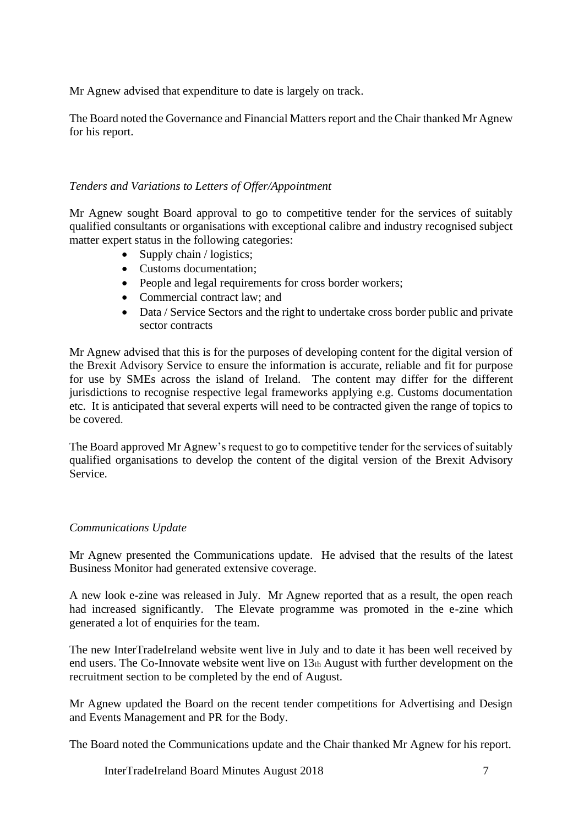Mr Agnew advised that expenditure to date is largely on track.

The Board noted the Governance and Financial Matters report and the Chair thanked Mr Agnew for his report.

## *Tenders and Variations to Letters of Offer/Appointment*

Mr Agnew sought Board approval to go to competitive tender for the services of suitably qualified consultants or organisations with exceptional calibre and industry recognised subject matter expert status in the following categories:

- Supply chain / logistics;
- Customs documentation;
- People and legal requirements for cross border workers;
- Commercial contract law; and
- Data / Service Sectors and the right to undertake cross border public and private sector contracts

Mr Agnew advised that this is for the purposes of developing content for the digital version of the Brexit Advisory Service to ensure the information is accurate, reliable and fit for purpose for use by SMEs across the island of Ireland. The content may differ for the different jurisdictions to recognise respective legal frameworks applying e.g. Customs documentation etc. It is anticipated that several experts will need to be contracted given the range of topics to be covered.

The Board approved Mr Agnew's request to go to competitive tender for the services of suitably qualified organisations to develop the content of the digital version of the Brexit Advisory Service.

#### *Communications Update*

Mr Agnew presented the Communications update. He advised that the results of the latest Business Monitor had generated extensive coverage.

A new look e-zine was released in July. Mr Agnew reported that as a result, the open reach had increased significantly. The Elevate programme was promoted in the e-zine which generated a lot of enquiries for the team.

The new InterTradeIreland website went live in July and to date it has been well received by end users. The Co-Innovate website went live on 13th August with further development on the recruitment section to be completed by the end of August.

Mr Agnew updated the Board on the recent tender competitions for Advertising and Design and Events Management and PR for the Body.

The Board noted the Communications update and the Chair thanked Mr Agnew for his report.

InterTradeIreland Board Minutes August 2018 7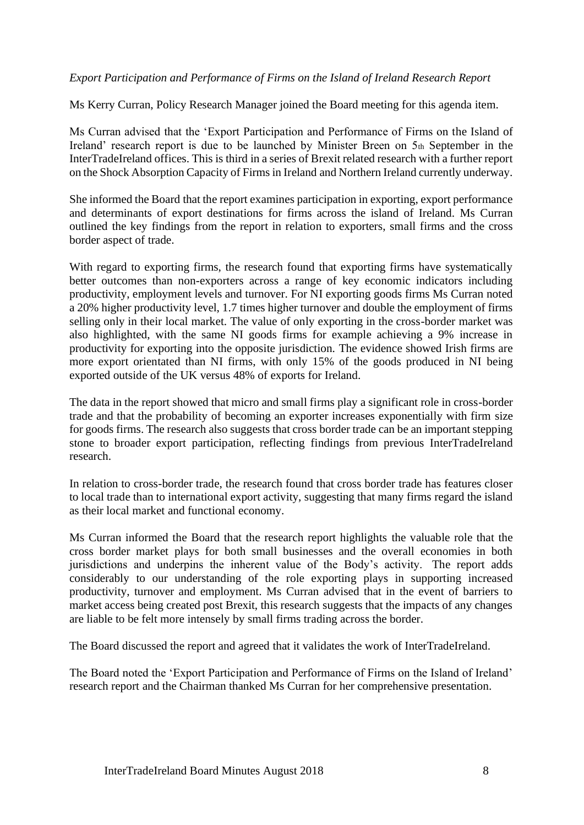## *Export Participation and Performance of Firms on the Island of Ireland Research Report*

Ms Kerry Curran, Policy Research Manager joined the Board meeting for this agenda item.

Ms Curran advised that the 'Export Participation and Performance of Firms on the Island of Ireland' research report is due to be launched by Minister Breen on 5th September in the InterTradeIreland offices. This is third in a series of Brexit related research with a further report on the Shock Absorption Capacity of Firms in Ireland and Northern Ireland currently underway.

She informed the Board that the report examines participation in exporting, export performance and determinants of export destinations for firms across the island of Ireland. Ms Curran outlined the key findings from the report in relation to exporters, small firms and the cross border aspect of trade.

With regard to exporting firms, the research found that exporting firms have systematically better outcomes than non-exporters across a range of key economic indicators including productivity, employment levels and turnover. For NI exporting goods firms Ms Curran noted a 20% higher productivity level, 1.7 times higher turnover and double the employment of firms selling only in their local market. The value of only exporting in the cross-border market was also highlighted, with the same NI goods firms for example achieving a 9% increase in productivity for exporting into the opposite jurisdiction. The evidence showed Irish firms are more export orientated than NI firms, with only 15% of the goods produced in NI being exported outside of the UK versus 48% of exports for Ireland.

The data in the report showed that micro and small firms play a significant role in cross-border trade and that the probability of becoming an exporter increases exponentially with firm size for goods firms. The research also suggests that cross border trade can be an important stepping stone to broader export participation, reflecting findings from previous InterTradeIreland research.

In relation to cross-border trade, the research found that cross border trade has features closer to local trade than to international export activity, suggesting that many firms regard the island as their local market and functional economy.

Ms Curran informed the Board that the research report highlights the valuable role that the cross border market plays for both small businesses and the overall economies in both jurisdictions and underpins the inherent value of the Body's activity. The report adds considerably to our understanding of the role exporting plays in supporting increased productivity, turnover and employment. Ms Curran advised that in the event of barriers to market access being created post Brexit, this research suggests that the impacts of any changes are liable to be felt more intensely by small firms trading across the border.

The Board discussed the report and agreed that it validates the work of InterTradeIreland.

The Board noted the 'Export Participation and Performance of Firms on the Island of Ireland' research report and the Chairman thanked Ms Curran for her comprehensive presentation.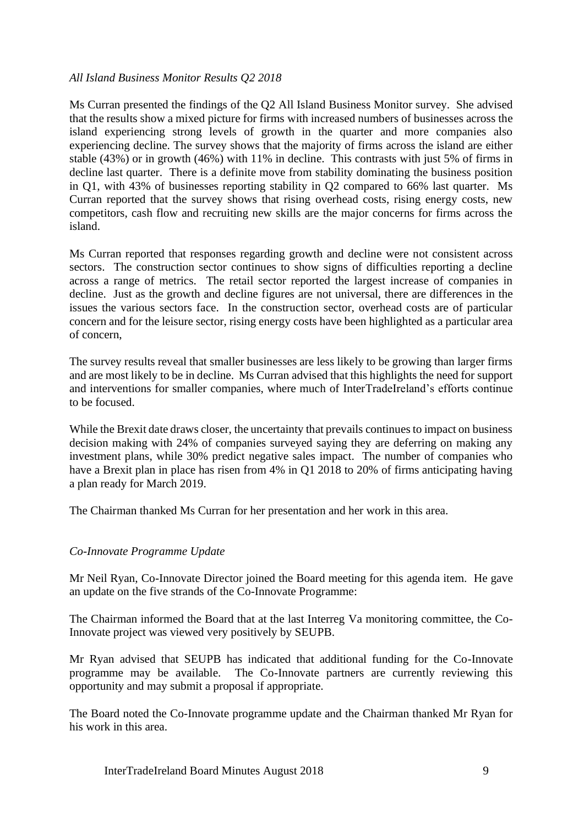## *All Island Business Monitor Results Q2 2018*

Ms Curran presented the findings of the Q2 All Island Business Monitor survey. She advised that the results show a mixed picture for firms with increased numbers of businesses across the island experiencing strong levels of growth in the quarter and more companies also experiencing decline. The survey shows that the majority of firms across the island are either stable (43%) or in growth (46%) with 11% in decline. This contrasts with just 5% of firms in decline last quarter. There is a definite move from stability dominating the business position in Q1, with 43% of businesses reporting stability in Q2 compared to 66% last quarter. Ms Curran reported that the survey shows that rising overhead costs, rising energy costs, new competitors, cash flow and recruiting new skills are the major concerns for firms across the island.

Ms Curran reported that responses regarding growth and decline were not consistent across sectors. The construction sector continues to show signs of difficulties reporting a decline across a range of metrics. The retail sector reported the largest increase of companies in decline. Just as the growth and decline figures are not universal, there are differences in the issues the various sectors face. In the construction sector, overhead costs are of particular concern and for the leisure sector, rising energy costs have been highlighted as a particular area of concern,

The survey results reveal that smaller businesses are less likely to be growing than larger firms and are most likely to be in decline. Ms Curran advised that this highlights the need for support and interventions for smaller companies, where much of InterTradeIreland's efforts continue to be focused.

While the Brexit date draws closer, the uncertainty that prevails continues to impact on business decision making with 24% of companies surveyed saying they are deferring on making any investment plans, while 30% predict negative sales impact. The number of companies who have a Brexit plan in place has risen from 4% in Q1 2018 to 20% of firms anticipating having a plan ready for March 2019.

The Chairman thanked Ms Curran for her presentation and her work in this area.

# *Co-Innovate Programme Update*

Mr Neil Ryan, Co-Innovate Director joined the Board meeting for this agenda item. He gave an update on the five strands of the Co-Innovate Programme:

The Chairman informed the Board that at the last Interreg Va monitoring committee, the Co-Innovate project was viewed very positively by SEUPB.

Mr Ryan advised that SEUPB has indicated that additional funding for the Co-Innovate programme may be available. The Co-Innovate partners are currently reviewing this opportunity and may submit a proposal if appropriate.

The Board noted the Co-Innovate programme update and the Chairman thanked Mr Ryan for his work in this area.